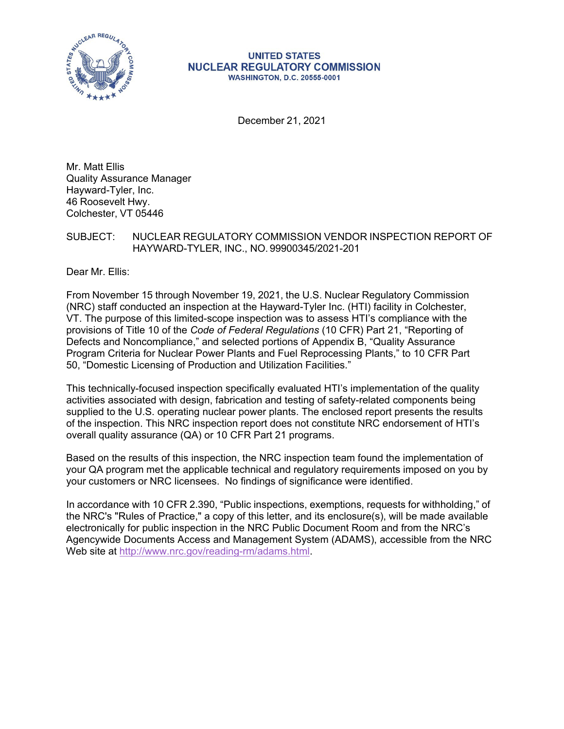

#### **UNITED STATES NUCLEAR REGULATORY COMMISSION WASHINGTON, D.C. 20555-0001**

December 21, 2021

Mr. Matt Ellis Quality Assurance Manager Hayward-Tyler, Inc. 46 Roosevelt Hwy. Colchester, VT 05446

# SUBJECT: NUCLEAR REGULATORY COMMISSION VENDOR INSPECTION REPORT OF HAYWARD-TYLER, INC., NO. 99900345/2021-201

Dear Mr. Ellis:

From November 15 through November 19, 2021, the U.S. Nuclear Regulatory Commission (NRC) staff conducted an inspection at the Hayward-Tyler Inc. (HTI) facility in Colchester, VT. The purpose of this limited-scope inspection was to assess HTI's compliance with the provisions of Title 10 of the *Code of Federal Regulations* (10 CFR) Part 21, "Reporting of Defects and Noncompliance," and selected portions of Appendix B, "Quality Assurance Program Criteria for Nuclear Power Plants and Fuel Reprocessing Plants," to 10 CFR Part 50, "Domestic Licensing of Production and Utilization Facilities."

This technically-focused inspection specifically evaluated HTI's implementation of the quality activities associated with design, fabrication and testing of safety-related components being supplied to the U.S. operating nuclear power plants. The enclosed report presents the results of the inspection. This NRC inspection report does not constitute NRC endorsement of HTI's overall quality assurance (QA) or 10 CFR Part 21 programs.

Based on the results of this inspection, the NRC inspection team found the implementation of your QA program met the applicable technical and regulatory requirements imposed on you by your customers or NRC licensees. No findings of significance were identified.

In accordance with 10 CFR 2.390, "Public inspections, exemptions, requests for withholding," of the NRC's "Rules of Practice," a copy of this letter, and its enclosure(s), will be made available electronically for public inspection in the NRC Public Document Room and from the NRC's Agencywide Documents Access and Management System (ADAMS), accessible from the NRC Web site at [http://www.nrc.gov/reading-rm/adams.html.](http://www.nrc.gov/reading-rm/adams.html)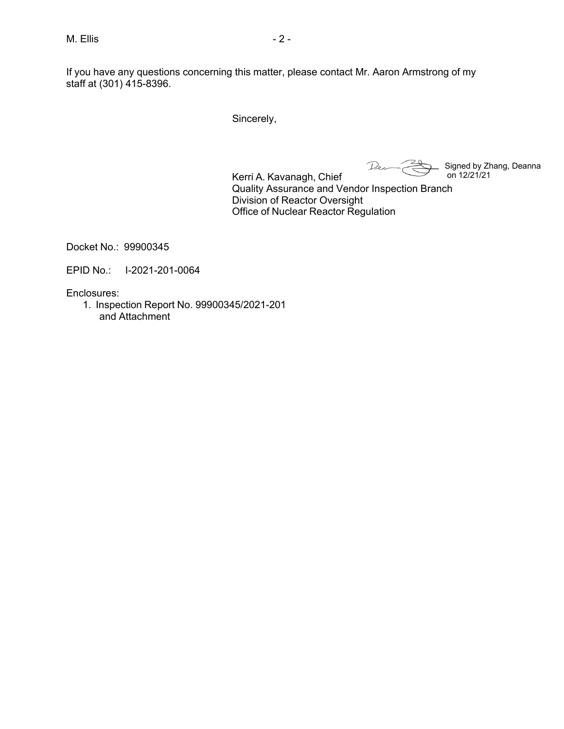If you have any questions concerning this matter, please contact Mr. Aaron Armstrong of my staff at (301) 415-8396.

Sincerely,

Dec Signed by Zhang, Deanna on 12/21/21

Kerri A. Kavanagh, Chief Quality Assurance and Vendor Inspection Branch Division of Reactor Oversight Office of Nuclear Reactor Regulation

Docket No.: 99900345

EPID No.: I-2021-201-0064

Enclosures:

1. Inspection Report No. 99900345/2021-201 and Attachment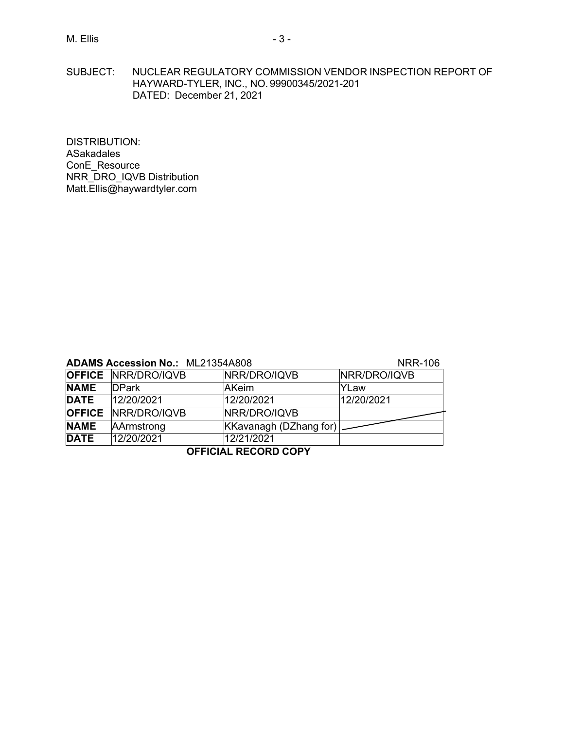SUBJECT: NUCLEAR REGULATORY COMMISSION VENDOR INSPECTION REPORT OF HAYWARD-TYLER, INC., NO. 99900345/2021-201 DATED: December 21, 2021

DISTRIBUTION: ASakadales ConE\_Resource NRR\_DRO\_IQVB Distribution [Matt.Ellis@haywardtyler.com](mailto:Matt.Ellis@haywardtyler.com)

| <b>ADAMS Accession No.: ML21354A808</b> |  | <b>NRR-106</b> |  |
|-----------------------------------------|--|----------------|--|
|-----------------------------------------|--|----------------|--|

|             |                            |                               | .            |
|-------------|----------------------------|-------------------------------|--------------|
|             | <b>OFFICE NRR/DRO/IQVB</b> | NRR/DRO/IQVB                  | NRR/DRO/IQVB |
| <b>NAME</b> | <b>DPark</b>               | AKeim                         | YLaw         |
| <b>DATE</b> | 12/20/2021                 | 12/20/2021                    | 12/20/2021   |
|             | <b>OFFICE NRR/DRO/IQVB</b> | NRR/DRO/IQVB                  |              |
| <b>NAME</b> | AArmstrong                 | <b>KKavanagh (DZhang for)</b> |              |
| <b>DATE</b> | 12/20/2021                 | 12/21/2021                    |              |

# **OFFICIAL RECORD COPY**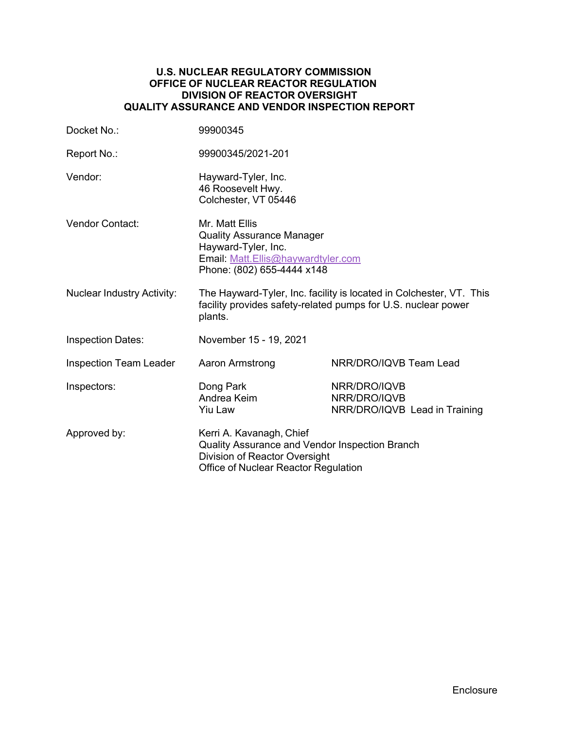#### **U.S. NUCLEAR REGULATORY COMMISSION OFFICE OF NUCLEAR REACTOR REGULATION DIVISION OF REACTOR OVERSIGHT QUALITY ASSURANCE AND VENDOR INSPECTION REPORT**

| Docket No.:                       | 99900345                                                                                                                                            |                                                               |  |
|-----------------------------------|-----------------------------------------------------------------------------------------------------------------------------------------------------|---------------------------------------------------------------|--|
| Report No.:                       | 99900345/2021-201                                                                                                                                   |                                                               |  |
| Vendor:                           | Hayward-Tyler, Inc.<br>46 Roosevelt Hwy.<br>Colchester, VT 05446                                                                                    |                                                               |  |
| <b>Vendor Contact:</b>            | Mr. Matt Ellis<br><b>Quality Assurance Manager</b><br>Hayward-Tyler, Inc.<br>Email: Matt.Ellis@haywardtyler.com<br>Phone: (802) 655-4444 x148       |                                                               |  |
| <b>Nuclear Industry Activity:</b> | The Hayward-Tyler, Inc. facility is located in Colchester, VT. This<br>facility provides safety-related pumps for U.S. nuclear power<br>plants.     |                                                               |  |
| <b>Inspection Dates:</b>          | November 15 - 19, 2021                                                                                                                              |                                                               |  |
| <b>Inspection Team Leader</b>     | <b>Aaron Armstrong</b>                                                                                                                              | NRR/DRO/IQVB Team Lead                                        |  |
| Inspectors:                       | Dong Park<br>Andrea Keim<br><b>Yiu Law</b>                                                                                                          | NRR/DRO/IQVB<br>NRR/DRO/IQVB<br>NRR/DRO/IQVB Lead in Training |  |
| Approved by:                      | Kerri A. Kavanagh, Chief<br>Quality Assurance and Vendor Inspection Branch<br>Division of Reactor Oversight<br>Office of Nuclear Reactor Regulation |                                                               |  |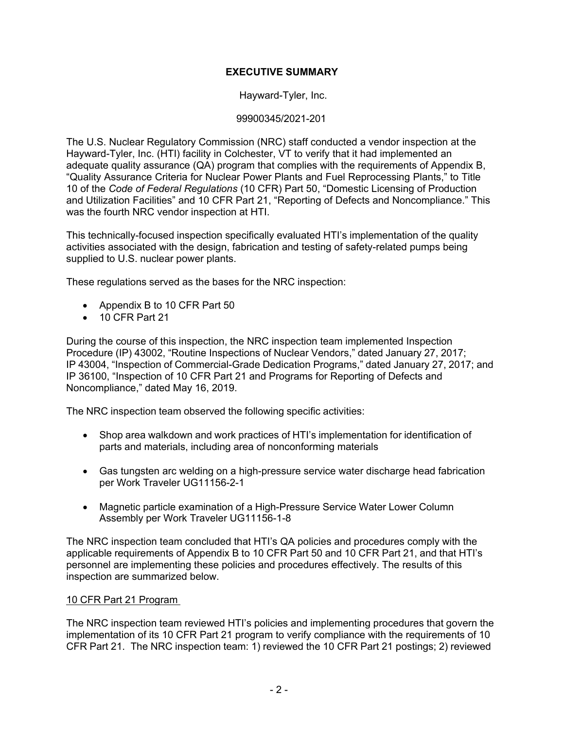# **EXECUTIVE SUMMARY**

Hayward-Tyler, Inc.

# 99900345/2021-201

The U.S. Nuclear Regulatory Commission (NRC) staff conducted a vendor inspection at the Hayward-Tyler, Inc. (HTI) facility in Colchester, VT to verify that it had implemented an adequate quality assurance (QA) program that complies with the requirements of Appendix B, "Quality Assurance Criteria for Nuclear Power Plants and Fuel Reprocessing Plants," to Title 10 of the *Code of Federal Regulations* (10 CFR) Part 50, "Domestic Licensing of Production and Utilization Facilities" and 10 CFR Part 21, "Reporting of Defects and Noncompliance." This was the fourth NRC vendor inspection at HTI.

This technically-focused inspection specifically evaluated HTI's implementation of the quality activities associated with the design, fabrication and testing of safety-related pumps being supplied to U.S. nuclear power plants.

These regulations served as the bases for the NRC inspection:

- Appendix B to 10 CFR Part 50
- 10 CFR Part 21

During the course of this inspection, the NRC inspection team implemented Inspection Procedure (IP) 43002, "Routine Inspections of Nuclear Vendors," dated January 27, 2017; IP 43004, "Inspection of Commercial-Grade Dedication Programs," dated January 27, 2017; and IP 36100, "Inspection of 10 CFR Part 21 and Programs for Reporting of Defects and Noncompliance," dated May 16, 2019.

The NRC inspection team observed the following specific activities:

- Shop area walkdown and work practices of HTI's implementation for identification of parts and materials, including area of nonconforming materials
- Gas tungsten arc welding on a high-pressure service water discharge head fabrication per Work Traveler UG11156-2-1
- Magnetic particle examination of a High-Pressure Service Water Lower Column Assembly per Work Traveler UG11156-1-8

The NRC inspection team concluded that HTI's QA policies and procedures comply with the applicable requirements of Appendix B to 10 CFR Part 50 and 10 CFR Part 21, and that HTI's personnel are implementing these policies and procedures effectively. The results of this inspection are summarized below.

# 10 CFR Part 21 Program

The NRC inspection team reviewed HTI's policies and implementing procedures that govern the implementation of its 10 CFR Part 21 program to verify compliance with the requirements of 10 CFR Part 21. The NRC inspection team: 1) reviewed the 10 CFR Part 21 postings; 2) reviewed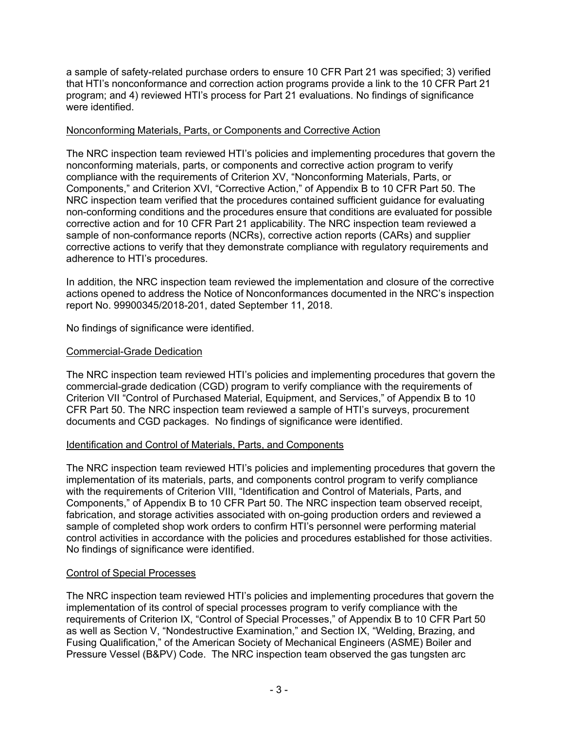a sample of safety-related purchase orders to ensure 10 CFR Part 21 was specified; 3) verified that HTI's nonconformance and correction action programs provide a link to the 10 CFR Part 21 program; and 4) reviewed HTI's process for Part 21 evaluations. No findings of significance were identified.

#### Nonconforming Materials, Parts, or Components and Corrective Action

The NRC inspection team reviewed HTI's policies and implementing procedures that govern the nonconforming materials, parts, or components and corrective action program to verify compliance with the requirements of Criterion XV, "Nonconforming Materials, Parts, or Components," and Criterion XVI, "Corrective Action," of Appendix B to 10 CFR Part 50. The NRC inspection team verified that the procedures contained sufficient guidance for evaluating non-conforming conditions and the procedures ensure that conditions are evaluated for possible corrective action and for 10 CFR Part 21 applicability. The NRC inspection team reviewed a sample of non-conformance reports (NCRs), corrective action reports (CARs) and supplier corrective actions to verify that they demonstrate compliance with regulatory requirements and adherence to HTI's procedures.

In addition, the NRC inspection team reviewed the implementation and closure of the corrective actions opened to address the Notice of Nonconformances documented in the NRC's inspection report No. 99900345/2018-201, dated September 11, 2018.

No findings of significance were identified.

# Commercial-Grade Dedication

The NRC inspection team reviewed HTI's policies and implementing procedures that govern the commercial-grade dedication (CGD) program to verify compliance with the requirements of Criterion VII "Control of Purchased Material, Equipment, and Services," of Appendix B to 10 CFR Part 50. The NRC inspection team reviewed a sample of HTI's surveys, procurement documents and CGD packages. No findings of significance were identified.

# Identification and Control of Materials, Parts, and Components

The NRC inspection team reviewed HTI's policies and implementing procedures that govern the implementation of its materials, parts, and components control program to verify compliance with the requirements of Criterion VIII, "Identification and Control of Materials, Parts, and Components," of Appendix B to 10 CFR Part 50. The NRC inspection team observed receipt, fabrication, and storage activities associated with on-going production orders and reviewed a sample of completed shop work orders to confirm HTI's personnel were performing material control activities in accordance with the policies and procedures established for those activities. No findings of significance were identified.

# Control of Special Processes

The NRC inspection team reviewed HTI's policies and implementing procedures that govern the implementation of its control of special processes program to verify compliance with the requirements of Criterion IX, "Control of Special Processes," of Appendix B to 10 CFR Part 50 as well as Section V, "Nondestructive Examination," and Section IX, "Welding, Brazing, and Fusing Qualification," of the American Society of Mechanical Engineers (ASME) Boiler and Pressure Vessel (B&PV) Code. The NRC inspection team observed the gas tungsten arc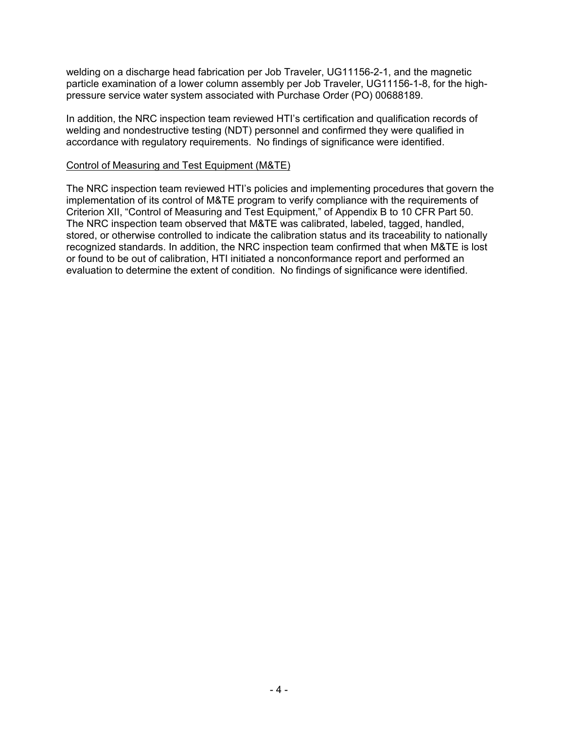welding on a discharge head fabrication per Job Traveler, UG11156-2-1, and the magnetic particle examination of a lower column assembly per Job Traveler, UG11156-1-8, for the highpressure service water system associated with Purchase Order (PO) 00688189.

In addition, the NRC inspection team reviewed HTI's certification and qualification records of welding and nondestructive testing (NDT) personnel and confirmed they were qualified in accordance with regulatory requirements. No findings of significance were identified.

#### Control of Measuring and Test Equipment (M&TE)

The NRC inspection team reviewed HTI's policies and implementing procedures that govern the implementation of its control of M&TE program to verify compliance with the requirements of Criterion XII, "Control of Measuring and Test Equipment," of Appendix B to 10 CFR Part 50. The NRC inspection team observed that M&TE was calibrated, labeled, tagged, handled, stored, or otherwise controlled to indicate the calibration status and its traceability to nationally recognized standards. In addition, the NRC inspection team confirmed that when M&TE is lost or found to be out of calibration, HTI initiated a nonconformance report and performed an evaluation to determine the extent of condition. No findings of significance were identified.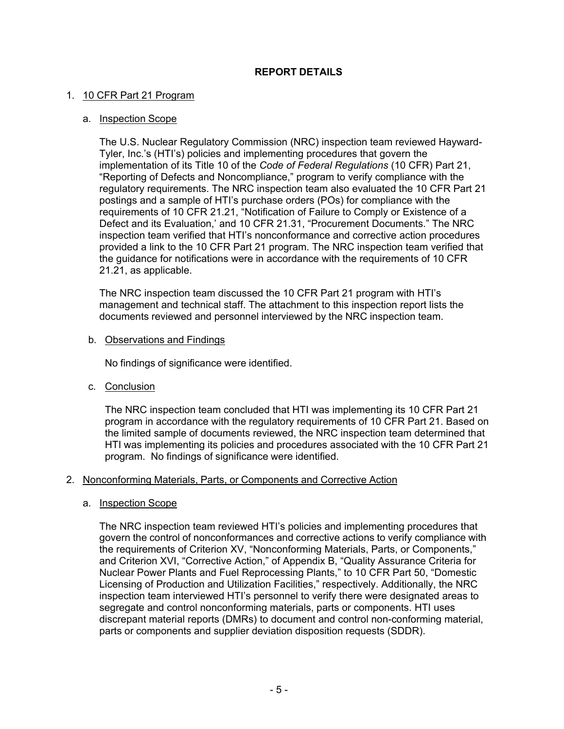# **REPORT DETAILS**

#### 1. 10 CFR Part 21 Program

#### a. Inspection Scope

The U.S. Nuclear Regulatory Commission (NRC) inspection team reviewed Hayward-Tyler, Inc.'s (HTI's) policies and implementing procedures that govern the implementation of its Title 10 of the *Code of Federal Regulations* (10 CFR) Part 21, "Reporting of Defects and Noncompliance," program to verify compliance with the regulatory requirements. The NRC inspection team also evaluated the 10 CFR Part 21 postings and a sample of HTI's purchase orders (POs) for compliance with the requirements of 10 CFR 21.21, "Notification of Failure to Comply or Existence of a Defect and its Evaluation,' and 10 CFR 21.31, "Procurement Documents." The NRC inspection team verified that HTI's nonconformance and corrective action procedures provided a link to the 10 CFR Part 21 program. The NRC inspection team verified that the guidance for notifications were in accordance with the requirements of 10 CFR 21.21, as applicable.

The NRC inspection team discussed the 10 CFR Part 21 program with HTI's management and technical staff. The attachment to this inspection report lists the documents reviewed and personnel interviewed by the NRC inspection team.

#### b. Observations and Findings

No findings of significance were identified.

c. Conclusion

The NRC inspection team concluded that HTI was implementing its 10 CFR Part 21 program in accordance with the regulatory requirements of 10 CFR Part 21. Based on the limited sample of documents reviewed, the NRC inspection team determined that HTI was implementing its policies and procedures associated with the 10 CFR Part 21 program. No findings of significance were identified.

#### 2. Nonconforming Materials, Parts, or Components and Corrective Action

#### a. Inspection Scope

The NRC inspection team reviewed HTI's policies and implementing procedures that govern the control of nonconformances and corrective actions to verify compliance with the requirements of Criterion XV, "Nonconforming Materials, Parts, or Components," and Criterion XVI, "Corrective Action," of Appendix B, "Quality Assurance Criteria for Nuclear Power Plants and Fuel Reprocessing Plants," to 10 CFR Part 50, "Domestic Licensing of Production and Utilization Facilities," respectively. Additionally, the NRC inspection team interviewed HTI's personnel to verify there were designated areas to segregate and control nonconforming materials, parts or components. HTI uses discrepant material reports (DMRs) to document and control non-conforming material, parts or components and supplier deviation disposition requests (SDDR).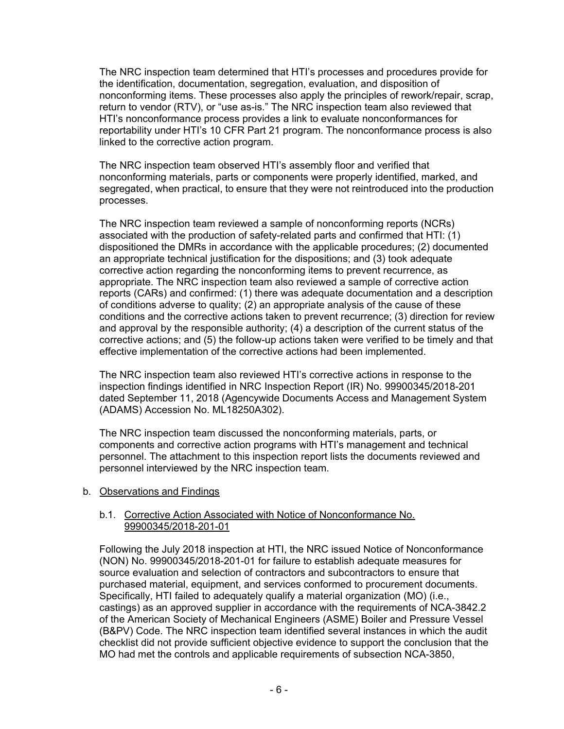The NRC inspection team determined that HTI's processes and procedures provide for the identification, documentation, segregation, evaluation, and disposition of nonconforming items. These processes also apply the principles of rework/repair, scrap, return to vendor (RTV), or "use as-is." The NRC inspection team also reviewed that HTI's nonconformance process provides a link to evaluate nonconformances for reportability under HTI's 10 CFR Part 21 program. The nonconformance process is also linked to the corrective action program.

The NRC inspection team observed HTI's assembly floor and verified that nonconforming materials, parts or components were properly identified, marked, and segregated, when practical, to ensure that they were not reintroduced into the production processes.

The NRC inspection team reviewed a sample of nonconforming reports (NCRs) associated with the production of safety-related parts and confirmed that HTI: (1) dispositioned the DMRs in accordance with the applicable procedures; (2) documented an appropriate technical justification for the dispositions; and (3) took adequate corrective action regarding the nonconforming items to prevent recurrence, as appropriate. The NRC inspection team also reviewed a sample of corrective action reports (CARs) and confirmed: (1) there was adequate documentation and a description of conditions adverse to quality; (2) an appropriate analysis of the cause of these conditions and the corrective actions taken to prevent recurrence; (3) direction for review and approval by the responsible authority; (4) a description of the current status of the corrective actions; and (5) the follow-up actions taken were verified to be timely and that effective implementation of the corrective actions had been implemented.

The NRC inspection team also reviewed HTI's corrective actions in response to the inspection findings identified in NRC Inspection Report (IR) No. 99900345/2018-201 dated September 11, 2018 (Agencywide Documents Access and Management System (ADAMS) Accession No. ML18250A302).

The NRC inspection team discussed the nonconforming materials, parts, or components and corrective action programs with HTI's management and technical personnel. The attachment to this inspection report lists the documents reviewed and personnel interviewed by the NRC inspection team.

# b. Observations and Findings

#### b.1. Corrective Action Associated with Notice of Nonconformance No. 99900345/2018-201-01

Following the July 2018 inspection at HTI, the NRC issued Notice of Nonconformance (NON) No. 99900345/2018-201-01 for failure to establish adequate measures for source evaluation and selection of contractors and subcontractors to ensure that purchased material, equipment, and services conformed to procurement documents. Specifically, HTI failed to adequately qualify a material organization (MO) (i.e., castings) as an approved supplier in accordance with the requirements of NCA-3842.2 of the American Society of Mechanical Engineers (ASME) Boiler and Pressure Vessel (B&PV) Code. The NRC inspection team identified several instances in which the audit checklist did not provide sufficient objective evidence to support the conclusion that the MO had met the controls and applicable requirements of subsection NCA-3850,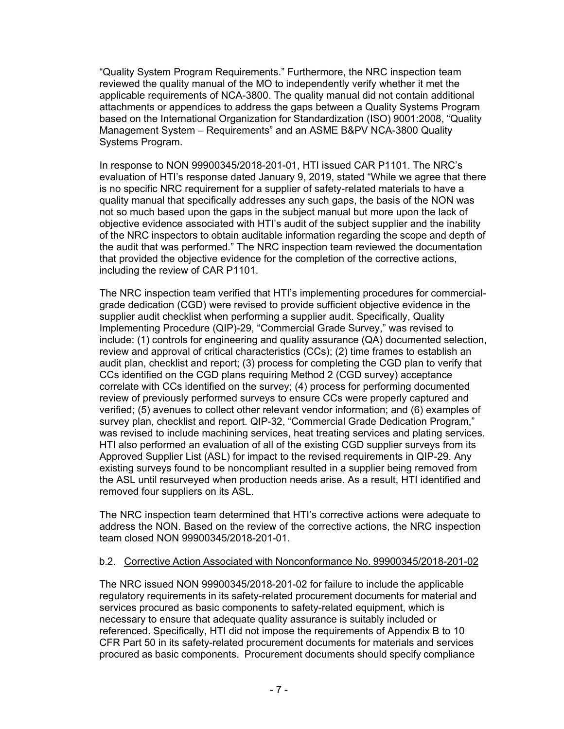"Quality System Program Requirements." Furthermore, the NRC inspection team reviewed the quality manual of the MO to independently verify whether it met the applicable requirements of NCA-3800. The quality manual did not contain additional attachments or appendices to address the gaps between a Quality Systems Program based on the International Organization for Standardization (ISO) 9001:2008, "Quality Management System – Requirements" and an ASME B&PV NCA-3800 Quality Systems Program.

In response to NON 99900345/2018-201-01, HTI issued CAR P1101. The NRC's evaluation of HTI's response dated January 9, 2019, stated "While we agree that there is no specific NRC requirement for a supplier of safety-related materials to have a quality manual that specifically addresses any such gaps, the basis of the NON was not so much based upon the gaps in the subject manual but more upon the lack of objective evidence associated with HTI's audit of the subject supplier and the inability of the NRC inspectors to obtain auditable information regarding the scope and depth of the audit that was performed." The NRC inspection team reviewed the documentation that provided the objective evidence for the completion of the corrective actions, including the review of CAR P1101.

The NRC inspection team verified that HTI's implementing procedures for commercialgrade dedication (CGD) were revised to provide sufficient objective evidence in the supplier audit checklist when performing a supplier audit. Specifically, Quality Implementing Procedure (QIP)-29, "Commercial Grade Survey," was revised to include: (1) controls for engineering and quality assurance (QA) documented selection, review and approval of critical characteristics (CCs); (2) time frames to establish an audit plan, checklist and report; (3) process for completing the CGD plan to verify that CCs identified on the CGD plans requiring Method 2 (CGD survey) acceptance correlate with CCs identified on the survey; (4) process for performing documented review of previously performed surveys to ensure CCs were properly captured and verified; (5) avenues to collect other relevant vendor information; and (6) examples of survey plan, checklist and report. QIP-32, "Commercial Grade Dedication Program," was revised to include machining services, heat treating services and plating services. HTI also performed an evaluation of all of the existing CGD supplier surveys from its Approved Supplier List (ASL) for impact to the revised requirements in QIP-29. Any existing surveys found to be noncompliant resulted in a supplier being removed from the ASL until resurveyed when production needs arise. As a result, HTI identified and removed four suppliers on its ASL.

The NRC inspection team determined that HTI's corrective actions were adequate to address the NON. Based on the review of the corrective actions, the NRC inspection team closed NON 99900345/2018-201-01.

# b.2. Corrective Action Associated with Nonconformance No. 99900345/2018-201-02

The NRC issued NON 99900345/2018-201-02 for failure to include the applicable regulatory requirements in its safety-related procurement documents for material and services procured as basic components to safety-related equipment, which is necessary to ensure that adequate quality assurance is suitably included or referenced. Specifically, HTI did not impose the requirements of Appendix B to 10 CFR Part 50 in its safety-related procurement documents for materials and services procured as basic components. Procurement documents should specify compliance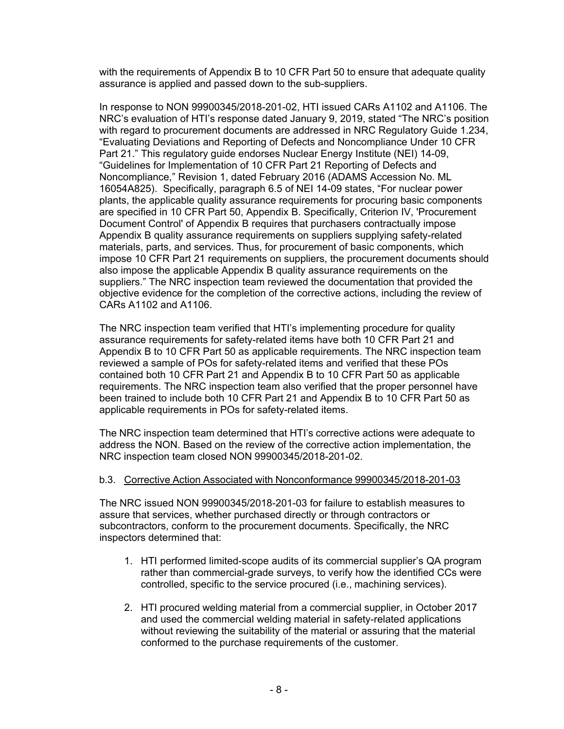with the requirements of Appendix B to 10 CFR Part 50 to ensure that adequate quality assurance is applied and passed down to the sub-suppliers.

In response to NON 99900345/2018-201-02, HTI issued CARs A1102 and A1106. The NRC's evaluation of HTI's response dated January 9, 2019, stated "The NRC's position with regard to procurement documents are addressed in NRC Regulatory Guide 1.234, "Evaluating Deviations and Reporting of Defects and Noncompliance Under 10 CFR Part 21." This regulatory guide endorses Nuclear Energy Institute (NEI) 14-09, "Guidelines for Implementation of 10 CFR Part 21 Reporting of Defects and Noncompliance," Revision 1, dated February 2016 (ADAMS Accession No. ML 16054A825). Specifically, paragraph 6.5 of NEI 14-09 states, "For nuclear power plants, the applicable quality assurance requirements for procuring basic components are specified in 10 CFR Part 50, Appendix B. Specifically, Criterion IV, 'Procurement Document Control' of Appendix B requires that purchasers contractually impose Appendix B quality assurance requirements on suppliers supplying safety-related materials, parts, and services. Thus, for procurement of basic components, which impose 10 CFR Part 21 requirements on suppliers, the procurement documents should also impose the applicable Appendix B quality assurance requirements on the suppliers." The NRC inspection team reviewed the documentation that provided the objective evidence for the completion of the corrective actions, including the review of CARs A1102 and A1106.

The NRC inspection team verified that HTI's implementing procedure for quality assurance requirements for safety-related items have both 10 CFR Part 21 and Appendix B to 10 CFR Part 50 as applicable requirements. The NRC inspection team reviewed a sample of POs for safety-related items and verified that these POs contained both 10 CFR Part 21 and Appendix B to 10 CFR Part 50 as applicable requirements. The NRC inspection team also verified that the proper personnel have been trained to include both 10 CFR Part 21 and Appendix B to 10 CFR Part 50 as applicable requirements in POs for safety-related items.

The NRC inspection team determined that HTI's corrective actions were adequate to address the NON. Based on the review of the corrective action implementation, the NRC inspection team closed NON 99900345/2018-201-02.

# b.3. Corrective Action Associated with Nonconformance 99900345/2018-201-03

The NRC issued NON 99900345/2018-201-03 for failure to establish measures to assure that services, whether purchased directly or through contractors or subcontractors, conform to the procurement documents. Specifically, the NRC inspectors determined that:

- 1. HTI performed limited-scope audits of its commercial supplier's QA program rather than commercial-grade surveys, to verify how the identified CCs were controlled, specific to the service procured (i.e., machining services).
- 2. HTI procured welding material from a commercial supplier, in October 2017 and used the commercial welding material in safety-related applications without reviewing the suitability of the material or assuring that the material conformed to the purchase requirements of the customer.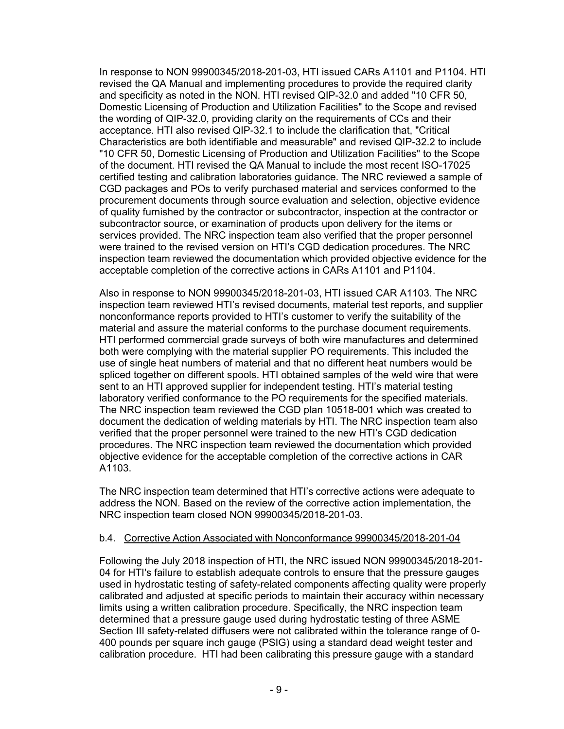In response to NON 99900345/2018-201-03, HTI issued CARs A1101 and P1104. HTI revised the QA Manual and implementing procedures to provide the required clarity and specificity as noted in the NON. HTI revised QIP-32.0 and added "10 CFR 50, Domestic Licensing of Production and Utilization Facilities" to the Scope and revised the wording of QIP-32.0, providing clarity on the requirements of CCs and their acceptance. HTI also revised QIP-32.1 to include the clarification that, "Critical Characteristics are both identifiable and measurable" and revised QIP-32.2 to include "10 CFR 50, Domestic Licensing of Production and Utilization Facilities" to the Scope of the document. HTI revised the QA Manual to include the most recent ISO-17025 certified testing and calibration laboratories guidance. The NRC reviewed a sample of CGD packages and POs to verify purchased material and services conformed to the procurement documents through source evaluation and selection, objective evidence of quality furnished by the contractor or subcontractor, inspection at the contractor or subcontractor source, or examination of products upon delivery for the items or services provided. The NRC inspection team also verified that the proper personnel were trained to the revised version on HTI's CGD dedication procedures. The NRC inspection team reviewed the documentation which provided objective evidence for the acceptable completion of the corrective actions in CARs A1101 and P1104.

Also in response to NON 99900345/2018-201-03, HTI issued CAR A1103. The NRC inspection team reviewed HTI's revised documents, material test reports, and supplier nonconformance reports provided to HTI's customer to verify the suitability of the material and assure the material conforms to the purchase document requirements. HTI performed commercial grade surveys of both wire manufactures and determined both were complying with the material supplier PO requirements. This included the use of single heat numbers of material and that no different heat numbers would be spliced together on different spools. HTI obtained samples of the weld wire that were sent to an HTI approved supplier for independent testing. HTI's material testing laboratory verified conformance to the PO requirements for the specified materials. The NRC inspection team reviewed the CGD plan 10518-001 which was created to document the dedication of welding materials by HTI. The NRC inspection team also verified that the proper personnel were trained to the new HTI's CGD dedication procedures. The NRC inspection team reviewed the documentation which provided objective evidence for the acceptable completion of the corrective actions in CAR A1103.

The NRC inspection team determined that HTI's corrective actions were adequate to address the NON. Based on the review of the corrective action implementation, the NRC inspection team closed NON 99900345/2018-201-03.

# b.4. Corrective Action Associated with Nonconformance 99900345/2018-201-04

Following the July 2018 inspection of HTI, the NRC issued NON 99900345/2018-201- 04 for HTI's failure to establish adequate controls to ensure that the pressure gauges used in hydrostatic testing of safety-related components affecting quality were properly calibrated and adjusted at specific periods to maintain their accuracy within necessary limits using a written calibration procedure. Specifically, the NRC inspection team determined that a pressure gauge used during hydrostatic testing of three ASME Section III safety-related diffusers were not calibrated within the tolerance range of 0- 400 pounds per square inch gauge (PSIG) using a standard dead weight tester and calibration procedure. HTI had been calibrating this pressure gauge with a standard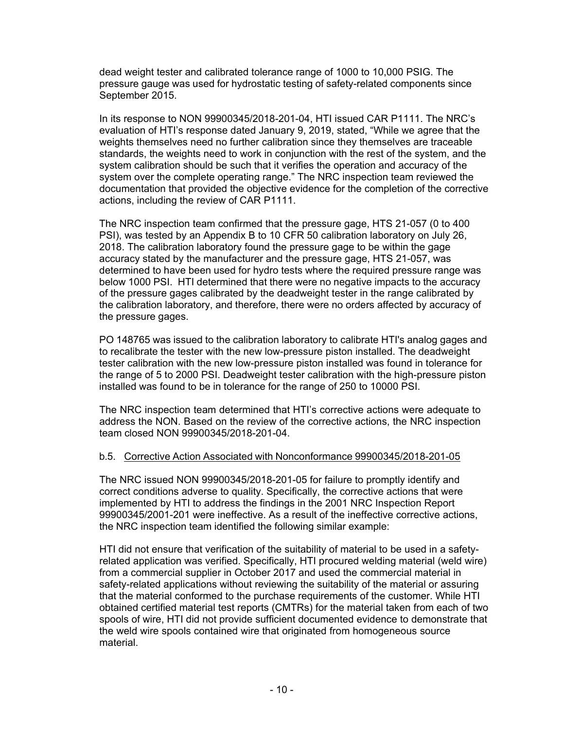dead weight tester and calibrated tolerance range of 1000 to 10,000 PSIG. The pressure gauge was used for hydrostatic testing of safety-related components since September 2015.

In its response to NON 99900345/2018-201-04, HTI issued CAR P1111. The NRC's evaluation of HTI's response dated January 9, 2019, stated, "While we agree that the weights themselves need no further calibration since they themselves are traceable standards, the weights need to work in conjunction with the rest of the system, and the system calibration should be such that it verifies the operation and accuracy of the system over the complete operating range." The NRC inspection team reviewed the documentation that provided the objective evidence for the completion of the corrective actions, including the review of CAR P1111.

The NRC inspection team confirmed that the pressure gage, HTS 21-057 (0 to 400 PSI), was tested by an Appendix B to 10 CFR 50 calibration laboratory on July 26, 2018. The calibration laboratory found the pressure gage to be within the gage accuracy stated by the manufacturer and the pressure gage, HTS 21-057, was determined to have been used for hydro tests where the required pressure range was below 1000 PSI. HTI determined that there were no negative impacts to the accuracy of the pressure gages calibrated by the deadweight tester in the range calibrated by the calibration laboratory, and therefore, there were no orders affected by accuracy of the pressure gages.

PO 148765 was issued to the calibration laboratory to calibrate HTI's analog gages and to recalibrate the tester with the new low-pressure piston installed. The deadweight tester calibration with the new low-pressure piston installed was found in tolerance for the range of 5 to 2000 PSI. Deadweight tester calibration with the high-pressure piston installed was found to be in tolerance for the range of 250 to 10000 PSI.

The NRC inspection team determined that HTI's corrective actions were adequate to address the NON. Based on the review of the corrective actions, the NRC inspection team closed NON 99900345/2018-201-04.

# b.5. Corrective Action Associated with Nonconformance 99900345/2018-201-05

The NRC issued NON 99900345/2018-201-05 for failure to promptly identify and correct conditions adverse to quality. Specifically, the corrective actions that were implemented by HTI to address the findings in the 2001 NRC Inspection Report 99900345/2001-201 were ineffective. As a result of the ineffective corrective actions, the NRC inspection team identified the following similar example:

HTI did not ensure that verification of the suitability of material to be used in a safetyrelated application was verified. Specifically, HTI procured welding material (weld wire) from a commercial supplier in October 2017 and used the commercial material in safety-related applications without reviewing the suitability of the material or assuring that the material conformed to the purchase requirements of the customer. While HTI obtained certified material test reports (CMTRs) for the material taken from each of two spools of wire, HTI did not provide sufficient documented evidence to demonstrate that the weld wire spools contained wire that originated from homogeneous source material.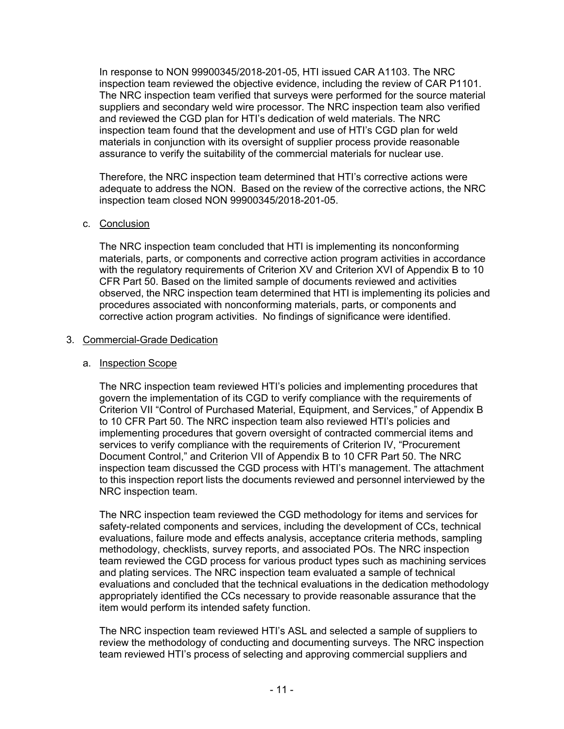In response to NON 99900345/2018-201-05, HTI issued CAR A1103. The NRC inspection team reviewed the objective evidence, including the review of CAR P1101. The NRC inspection team verified that surveys were performed for the source material suppliers and secondary weld wire processor. The NRC inspection team also verified and reviewed the CGD plan for HTI's dedication of weld materials. The NRC inspection team found that the development and use of HTI's CGD plan for weld materials in conjunction with its oversight of supplier process provide reasonable assurance to verify the suitability of the commercial materials for nuclear use.

Therefore, the NRC inspection team determined that HTI's corrective actions were adequate to address the NON. Based on the review of the corrective actions, the NRC inspection team closed NON 99900345/2018-201-05.

# c. Conclusion

The NRC inspection team concluded that HTI is implementing its nonconforming materials, parts, or components and corrective action program activities in accordance with the regulatory requirements of Criterion XV and Criterion XVI of Appendix B to 10 CFR Part 50. Based on the limited sample of documents reviewed and activities observed, the NRC inspection team determined that HTI is implementing its policies and procedures associated with nonconforming materials, parts, or components and corrective action program activities. No findings of significance were identified.

#### 3. Commercial-Grade Dedication

#### a. Inspection Scope

The NRC inspection team reviewed HTI's policies and implementing procedures that govern the implementation of its CGD to verify compliance with the requirements of Criterion VII "Control of Purchased Material, Equipment, and Services," of Appendix B to 10 CFR Part 50. The NRC inspection team also reviewed HTI's policies and implementing procedures that govern oversight of contracted commercial items and services to verify compliance with the requirements of Criterion IV, "Procurement Document Control," and Criterion VII of Appendix B to 10 CFR Part 50. The NRC inspection team discussed the CGD process with HTI's management. The attachment to this inspection report lists the documents reviewed and personnel interviewed by the NRC inspection team.

The NRC inspection team reviewed the CGD methodology for items and services for safety-related components and services, including the development of CCs, technical evaluations, failure mode and effects analysis, acceptance criteria methods, sampling methodology, checklists, survey reports, and associated POs. The NRC inspection team reviewed the CGD process for various product types such as machining services and plating services. The NRC inspection team evaluated a sample of technical evaluations and concluded that the technical evaluations in the dedication methodology appropriately identified the CCs necessary to provide reasonable assurance that the item would perform its intended safety function.

The NRC inspection team reviewed HTI's ASL and selected a sample of suppliers to review the methodology of conducting and documenting surveys. The NRC inspection team reviewed HTI's process of selecting and approving commercial suppliers and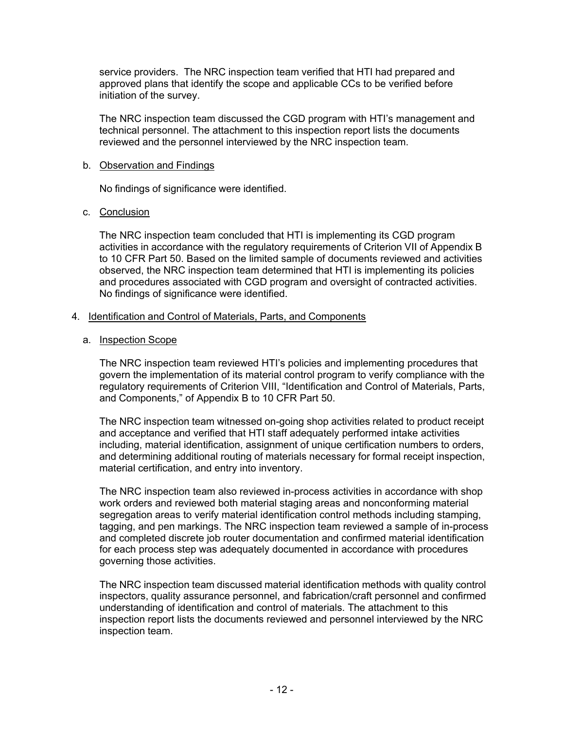service providers. The NRC inspection team verified that HTI had prepared and approved plans that identify the scope and applicable CCs to be verified before initiation of the survey.

The NRC inspection team discussed the CGD program with HTI's management and technical personnel. The attachment to this inspection report lists the documents reviewed and the personnel interviewed by the NRC inspection team.

#### b. Observation and Findings

No findings of significance were identified.

# c. Conclusion

The NRC inspection team concluded that HTI is implementing its CGD program activities in accordance with the regulatory requirements of Criterion VII of Appendix B to 10 CFR Part 50. Based on the limited sample of documents reviewed and activities observed, the NRC inspection team determined that HTI is implementing its policies and procedures associated with CGD program and oversight of contracted activities. No findings of significance were identified.

# 4. Identification and Control of Materials, Parts, and Components

#### a. Inspection Scope

The NRC inspection team reviewed HTI's policies and implementing procedures that govern the implementation of its material control program to verify compliance with the regulatory requirements of Criterion VIII, "Identification and Control of Materials, Parts, and Components," of Appendix B to 10 CFR Part 50.

The NRC inspection team witnessed on-going shop activities related to product receipt and acceptance and verified that HTI staff adequately performed intake activities including, material identification, assignment of unique certification numbers to orders, and determining additional routing of materials necessary for formal receipt inspection, material certification, and entry into inventory.

The NRC inspection team also reviewed in-process activities in accordance with shop work orders and reviewed both material staging areas and nonconforming material segregation areas to verify material identification control methods including stamping, tagging, and pen markings. The NRC inspection team reviewed a sample of in-process and completed discrete job router documentation and confirmed material identification for each process step was adequately documented in accordance with procedures governing those activities.

The NRC inspection team discussed material identification methods with quality control inspectors, quality assurance personnel, and fabrication/craft personnel and confirmed understanding of identification and control of materials. The attachment to this inspection report lists the documents reviewed and personnel interviewed by the NRC inspection team.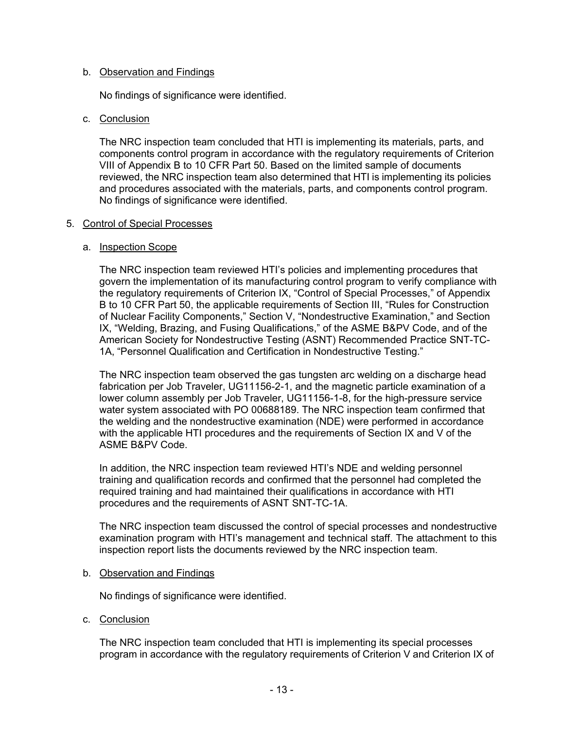#### b. Observation and Findings

No findings of significance were identified.

#### c. Conclusion

The NRC inspection team concluded that HTI is implementing its materials, parts, and components control program in accordance with the regulatory requirements of Criterion VIII of Appendix B to 10 CFR Part 50. Based on the limited sample of documents reviewed, the NRC inspection team also determined that HTI is implementing its policies and procedures associated with the materials, parts, and components control program. No findings of significance were identified.

#### 5. Control of Special Processes

#### a. Inspection Scope

The NRC inspection team reviewed HTI's policies and implementing procedures that govern the implementation of its manufacturing control program to verify compliance with the regulatory requirements of Criterion IX, "Control of Special Processes," of Appendix B to 10 CFR Part 50, the applicable requirements of Section III, "Rules for Construction of Nuclear Facility Components," Section V, "Nondestructive Examination," and Section IX, "Welding, Brazing, and Fusing Qualifications," of the ASME B&PV Code, and of the American Society for Nondestructive Testing (ASNT) Recommended Practice SNT-TC-1A, "Personnel Qualification and Certification in Nondestructive Testing."

The NRC inspection team observed the gas tungsten arc welding on a discharge head fabrication per Job Traveler, UG11156-2-1, and the magnetic particle examination of a lower column assembly per Job Traveler, UG11156-1-8, for the high-pressure service water system associated with PO 00688189. The NRC inspection team confirmed that the welding and the nondestructive examination (NDE) were performed in accordance with the applicable HTI procedures and the requirements of Section IX and V of the ASME B&PV Code.

In addition, the NRC inspection team reviewed HTI's NDE and welding personnel training and qualification records and confirmed that the personnel had completed the required training and had maintained their qualifications in accordance with HTI procedures and the requirements of ASNT SNT-TC-1A.

The NRC inspection team discussed the control of special processes and nondestructive examination program with HTI's management and technical staff. The attachment to this inspection report lists the documents reviewed by the NRC inspection team.

#### b. Observation and Findings

No findings of significance were identified.

c. Conclusion

The NRC inspection team concluded that HTI is implementing its special processes program in accordance with the regulatory requirements of Criterion V and Criterion IX of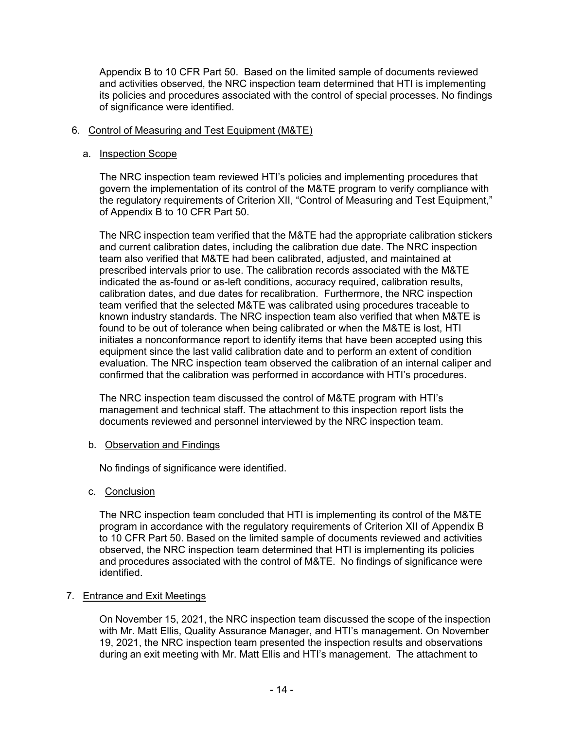Appendix B to 10 CFR Part 50. Based on the limited sample of documents reviewed and activities observed, the NRC inspection team determined that HTI is implementing its policies and procedures associated with the control of special processes. No findings of significance were identified.

#### 6. Control of Measuring and Test Equipment (M&TE)

#### a. Inspection Scope

The NRC inspection team reviewed HTI's policies and implementing procedures that govern the implementation of its control of the M&TE program to verify compliance with the regulatory requirements of Criterion XII, "Control of Measuring and Test Equipment," of Appendix B to 10 CFR Part 50.

The NRC inspection team verified that the M&TE had the appropriate calibration stickers and current calibration dates, including the calibration due date. The NRC inspection team also verified that M&TE had been calibrated, adjusted, and maintained at prescribed intervals prior to use. The calibration records associated with the M&TE indicated the as-found or as-left conditions, accuracy required, calibration results, calibration dates, and due dates for recalibration. Furthermore, the NRC inspection team verified that the selected M&TE was calibrated using procedures traceable to known industry standards. The NRC inspection team also verified that when M&TE is found to be out of tolerance when being calibrated or when the M&TE is lost, HTI initiates a nonconformance report to identify items that have been accepted using this equipment since the last valid calibration date and to perform an extent of condition evaluation. The NRC inspection team observed the calibration of an internal caliper and confirmed that the calibration was performed in accordance with HTI's procedures.

The NRC inspection team discussed the control of M&TE program with HTI's management and technical staff. The attachment to this inspection report lists the documents reviewed and personnel interviewed by the NRC inspection team.

#### b. Observation and Findings

No findings of significance were identified.

# c. Conclusion

The NRC inspection team concluded that HTI is implementing its control of the M&TE program in accordance with the regulatory requirements of Criterion XII of Appendix B to 10 CFR Part 50. Based on the limited sample of documents reviewed and activities observed, the NRC inspection team determined that HTI is implementing its policies and procedures associated with the control of M&TE. No findings of significance were identified.

# 7. Entrance and Exit Meetings

On November 15, 2021, the NRC inspection team discussed the scope of the inspection with Mr. Matt Ellis, Quality Assurance Manager, and HTI's management. On November 19, 2021, the NRC inspection team presented the inspection results and observations during an exit meeting with Mr. Matt Ellis and HTI's management. The attachment to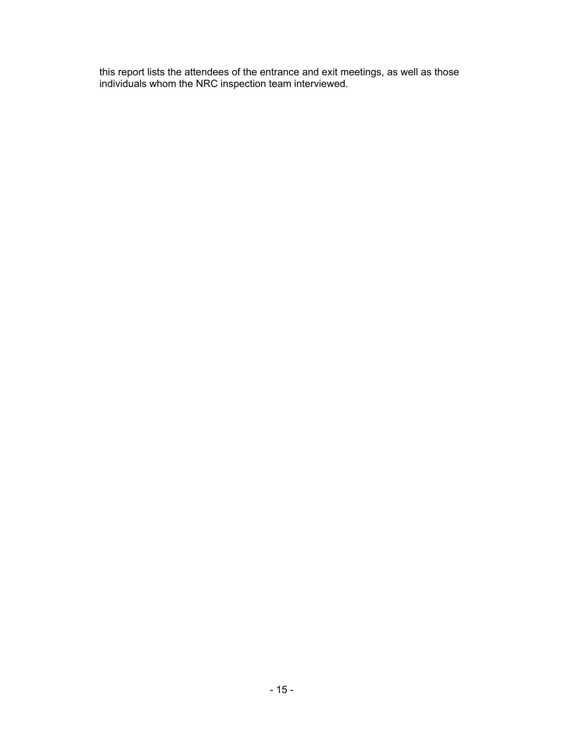this report lists the attendees of the entrance and exit meetings, as well as those individuals whom the NRC inspection team interviewed.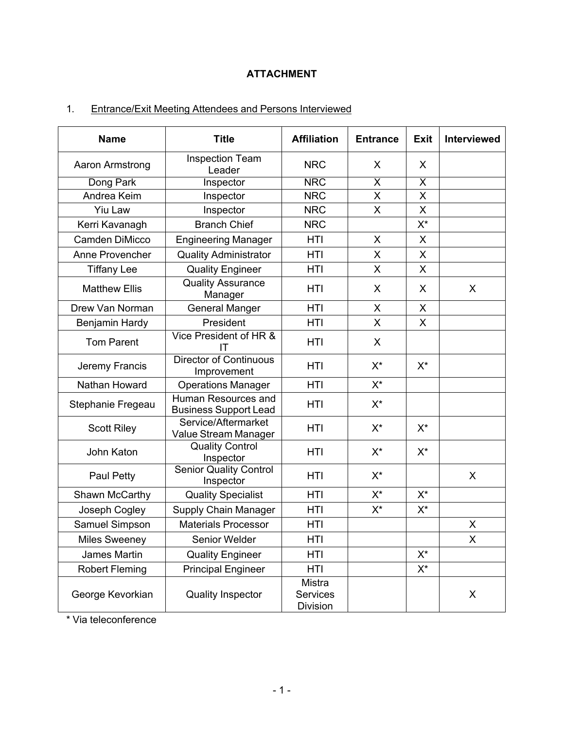# **ATTACHMENT**

# 1. Entrance/Exit Meeting Attendees and Persons Interviewed

| <b>Name</b>           | <b>Title</b>                                        | <b>Affiliation</b>                           | <b>Entrance</b>         | <b>Exit</b>             | <b>Interviewed</b> |
|-----------------------|-----------------------------------------------------|----------------------------------------------|-------------------------|-------------------------|--------------------|
| Aaron Armstrong       | <b>Inspection Team</b><br>Leader                    | <b>NRC</b>                                   | X                       | X                       |                    |
| Dong Park             | Inspector                                           | <b>NRC</b>                                   | $\overline{\mathsf{x}}$ | $\overline{\mathsf{x}}$ |                    |
| Andrea Keim           | Inspector                                           | <b>NRC</b>                                   | X                       | X                       |                    |
| <b>Yiu Law</b>        | Inspector                                           | <b>NRC</b>                                   | X                       | X                       |                    |
| Kerri Kavanagh        | <b>Branch Chief</b>                                 | <b>NRC</b>                                   |                         | X*                      |                    |
| <b>Camden DiMicco</b> | <b>Engineering Manager</b>                          | HTI                                          | X                       | X                       |                    |
| Anne Provencher       | <b>Quality Administrator</b>                        | HTI                                          | X                       | X                       |                    |
| <b>Tiffany Lee</b>    | <b>Quality Engineer</b>                             | HTI                                          | $\mathsf{X}$            | X                       |                    |
| <b>Matthew Ellis</b>  | <b>Quality Assurance</b><br>Manager                 | HTI                                          | $\mathsf{X}$            | X                       | X                  |
| Drew Van Norman       | <b>General Manger</b>                               | <b>HTI</b>                                   | $\mathsf{X}$            | X                       |                    |
| Benjamin Hardy        | President                                           | HTI                                          | X                       | X                       |                    |
| <b>Tom Parent</b>     | Vice President of HR &<br>ΙT                        | HTI                                          | X                       |                         |                    |
| Jeremy Francis        | <b>Director of Continuous</b><br>Improvement        | HTI                                          | $X^*$                   | $X^*$                   |                    |
| Nathan Howard         | <b>Operations Manager</b>                           | HTI                                          | $X^*$                   |                         |                    |
| Stephanie Fregeau     | Human Resources and<br><b>Business Support Lead</b> | HTI                                          | $X^*$                   |                         |                    |
| <b>Scott Riley</b>    | Service/Aftermarket<br>Value Stream Manager         | HTI                                          | $X^*$                   | $X^*$                   |                    |
| John Katon            | <b>Quality Control</b><br>Inspector                 | HTI                                          | $X^*$                   | $X^*$                   |                    |
| Paul Petty            | <b>Senior Quality Control</b><br>Inspector          | HTI                                          | $X^*$                   |                         | X                  |
| Shawn McCarthy        | <b>Quality Specialist</b>                           | HTI                                          | $X^*$                   | $X^*$                   |                    |
| Joseph Cogley         | <b>Supply Chain Manager</b>                         | HTI                                          | $X^*$                   | $X^*$                   |                    |
| Samuel Simpson        | <b>Materials Processor</b>                          | HTI                                          |                         |                         | X                  |
| <b>Miles Sweeney</b>  | Senior Welder                                       | HTI                                          |                         |                         | X                  |
| James Martin          | <b>Quality Engineer</b>                             | HTI                                          |                         | $X^*$                   |                    |
| <b>Robert Fleming</b> | <b>Principal Engineer</b>                           | HTI                                          |                         | $X^*$                   |                    |
| George Kevorkian      | <b>Quality Inspector</b>                            | Mistra<br><b>Services</b><br><b>Division</b> |                         |                         | X                  |

\* Via teleconference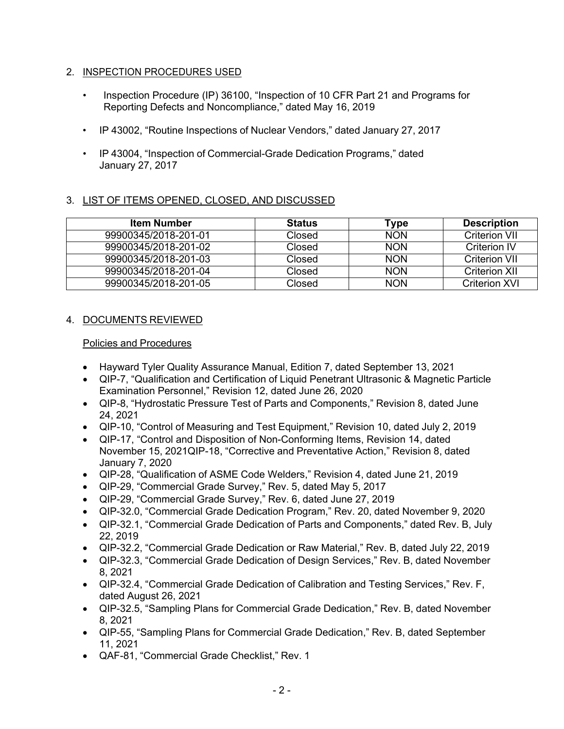# 2. INSPECTION PROCEDURES USED

- Inspection Procedure (IP) 36100, "Inspection of 10 CFR Part 21 and Programs for Reporting Defects and Noncompliance," dated May 16, 2019
- IP 43002, "Routine Inspections of Nuclear Vendors," dated January 27, 2017
- IP 43004, "Inspection of Commercial-Grade Dedication Programs," dated January 27, 2017

# 3. LIST OF ITEMS OPENED, CLOSED, AND DISCUSSED

| <b>Item Number</b>   | <b>Status</b> | Гуре       | <b>Description</b>   |
|----------------------|---------------|------------|----------------------|
| 99900345/2018-201-01 | Closed        | <b>NON</b> | Criterion VII        |
| 99900345/2018-201-02 | Closed        | <b>NON</b> | <b>Criterion IV</b>  |
| 99900345/2018-201-03 | Closed        | <b>NON</b> | <b>Criterion VII</b> |
| 99900345/2018-201-04 | Closed        | <b>NON</b> | <b>Criterion XII</b> |
| 99900345/2018-201-05 | Closed        | <b>NON</b> | <b>Criterion XVI</b> |

# 4. DOCUMENTS REVIEWED

# Policies and Procedures

- Hayward Tyler Quality Assurance Manual, Edition 7, dated September 13, 2021
- QIP-7, "Qualification and Certification of Liquid Penetrant Ultrasonic & Magnetic Particle Examination Personnel," Revision 12, dated June 26, 2020
- QIP-8, "Hydrostatic Pressure Test of Parts and Components," Revision 8, dated June 24, 2021
- QIP-10, "Control of Measuring and Test Equipment," Revision 10, dated July 2, 2019
- QIP-17, "Control and Disposition of Non-Conforming Items, Revision 14, dated November 15, 2021QIP-18, "Corrective and Preventative Action," Revision 8, dated January 7, 2020
- QIP-28, "Qualification of ASME Code Welders," Revision 4, dated June 21, 2019
- QIP-29, "Commercial Grade Survey," Rev. 5, dated May 5, 2017
- QIP-29, "Commercial Grade Survey," Rev. 6, dated June 27, 2019
- QIP-32.0, "Commercial Grade Dedication Program," Rev. 20, dated November 9, 2020
- QIP-32.1, "Commercial Grade Dedication of Parts and Components," dated Rev. B, July 22, 2019
- QIP-32.2, "Commercial Grade Dedication or Raw Material," Rev. B, dated July 22, 2019
- QIP-32.3, "Commercial Grade Dedication of Design Services," Rev. B, dated November 8, 2021
- QIP-32.4, "Commercial Grade Dedication of Calibration and Testing Services," Rev. F, dated August 26, 2021
- QIP-32.5, "Sampling Plans for Commercial Grade Dedication," Rev. B, dated November 8, 2021
- QIP-55, "Sampling Plans for Commercial Grade Dedication," Rev. B, dated September 11, 2021
- QAF-81, "Commercial Grade Checklist," Rev. 1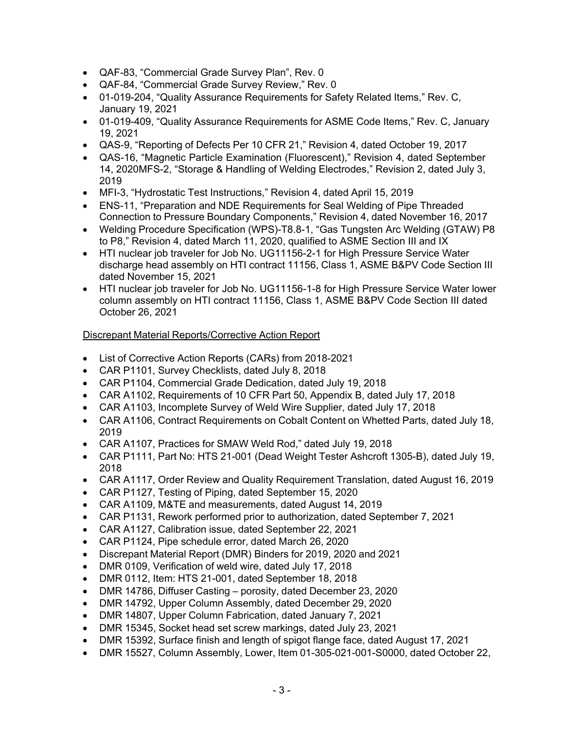- QAF-83, "Commercial Grade Survey Plan", Rev. 0
- QAF-84, "Commercial Grade Survey Review," Rev. 0
- 01-019-204, "Quality Assurance Requirements for Safety Related Items." Rev. C. January 19, 2021
- 01-019-409, "Quality Assurance Requirements for ASME Code Items," Rev. C, January 19, 2021
- QAS-9, "Reporting of Defects Per 10 CFR 21," Revision 4, dated October 19, 2017
- QAS-16, "Magnetic Particle Examination (Fluorescent)," Revision 4, dated September 14, 2020MFS-2, "Storage & Handling of Welding Electrodes," Revision 2, dated July 3, 2019
- MFI-3, "Hydrostatic Test Instructions," Revision 4, dated April 15, 2019
- ENS-11, "Preparation and NDE Requirements for Seal Welding of Pipe Threaded Connection to Pressure Boundary Components," Revision 4, dated November 16, 2017
- Welding Procedure Specification (WPS)-T8.8-1, "Gas Tungsten Arc Welding (GTAW) P8 to P8," Revision 4, dated March 11, 2020, qualified to ASME Section III and IX
- HTI nuclear job traveler for Job No. UG11156-2-1 for High Pressure Service Water discharge head assembly on HTI contract 11156, Class 1, ASME B&PV Code Section III dated November 15, 2021
- HTI nuclear job traveler for Job No. UG11156-1-8 for High Pressure Service Water lower column assembly on HTI contract 11156, Class 1, ASME B&PV Code Section III dated October 26, 2021

# Discrepant Material Reports/Corrective Action Report

- List of Corrective Action Reports (CARs) from 2018-2021
- CAR P1101, Survey Checklists, dated July 8, 2018
- CAR P1104, Commercial Grade Dedication, dated July 19, 2018
- CAR A1102, Requirements of 10 CFR Part 50, Appendix B, dated July 17, 2018
- CAR A1103, Incomplete Survey of Weld Wire Supplier, dated July 17, 2018
- CAR A1106, Contract Requirements on Cobalt Content on Whetted Parts, dated July 18, 2019
- CAR A1107, Practices for SMAW Weld Rod," dated July 19, 2018
- CAR P1111, Part No: HTS 21-001 (Dead Weight Tester Ashcroft 1305-B), dated July 19, 2018
- CAR A1117, Order Review and Quality Requirement Translation, dated August 16, 2019
- CAR P1127, Testing of Piping, dated September 15, 2020
- CAR A1109, M&TE and measurements, dated August 14, 2019
- CAR P1131, Rework performed prior to authorization, dated September 7, 2021
- CAR A1127, Calibration issue, dated September 22, 2021
- CAR P1124, Pipe schedule error, dated March 26, 2020
- Discrepant Material Report (DMR) Binders for 2019, 2020 and 2021
- DMR 0109, Verification of weld wire, dated July 17, 2018
- DMR 0112, Item: HTS 21-001, dated September 18, 2018
- DMR 14786, Diffuser Casting porosity, dated December 23, 2020
- DMR 14792, Upper Column Assembly, dated December 29, 2020
- DMR 14807, Upper Column Fabrication, dated January 7, 2021
- DMR 15345, Socket head set screw markings, dated July 23, 2021
- DMR 15392, Surface finish and length of spigot flange face, dated August 17, 2021
- DMR 15527, Column Assembly, Lower, Item 01-305-021-001-S0000, dated October 22,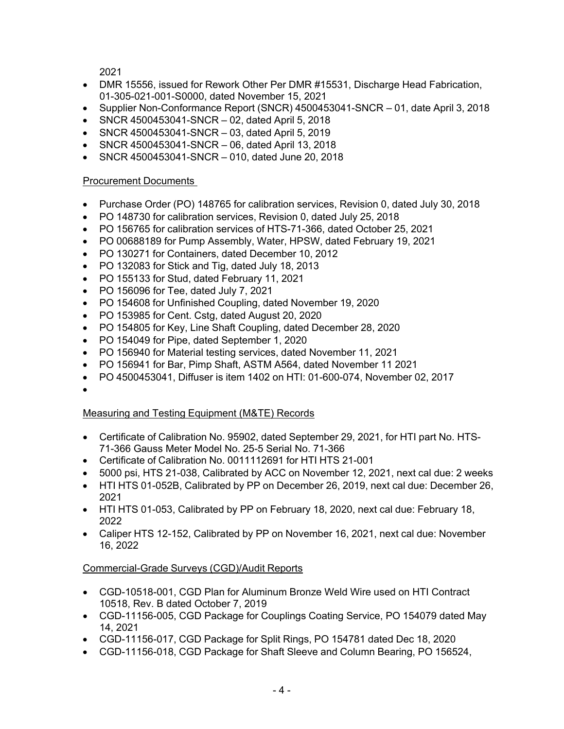2021

- DMR 15556, issued for Rework Other Per DMR #15531, Discharge Head Fabrication, 01-305-021-001-S0000, dated November 15, 2021
- Supplier Non-Conformance Report (SNCR) 4500453041-SNCR 01, date April 3, 2018
- SNCR 4500453041-SNCR 02, dated April 5, 2018
- SNCR 4500453041-SNCR 03, dated April 5, 2019
- SNCR 4500453041-SNCR 06, dated April 13, 2018
- SNCR 4500453041-SNCR 010, dated June 20, 2018

# Procurement Documents

- Purchase Order (PO) 148765 for calibration services, Revision 0, dated July 30, 2018
- PO 148730 for calibration services, Revision 0, dated July 25, 2018
- PO 156765 for calibration services of HTS-71-366, dated October 25, 2021
- PO 00688189 for Pump Assembly, Water, HPSW, dated February 19, 2021
- PO 130271 for Containers, dated December 10, 2012
- PO 132083 for Stick and Tig, dated July 18, 2013
- PO 155133 for Stud, dated February 11, 2021
- PO 156096 for Tee, dated July 7, 2021
- PO 154608 for Unfinished Coupling, dated November 19, 2020
- PO 153985 for Cent. Cstg, dated August 20, 2020
- PO 154805 for Key, Line Shaft Coupling, dated December 28, 2020
- PO 154049 for Pipe, dated September 1, 2020
- PO 156940 for Material testing services, dated November 11, 2021
- PO 156941 for Bar, Pimp Shaft, ASTM A564, dated November 11 2021
- PO 4500453041, Diffuser is item 1402 on HTI: 01-600-074, November 02, 2017
- •

# Measuring and Testing Equipment (M&TE) Records

- Certificate of Calibration No. 95902, dated September 29, 2021, for HTI part No. HTS-71-366 Gauss Meter Model No. 25-5 Serial No. 71-366
- Certificate of Calibration No. 0011112691 for HTI HTS 21-001
- 5000 psi, HTS 21-038, Calibrated by ACC on November 12, 2021, next cal due: 2 weeks
- HTI HTS 01-052B, Calibrated by PP on December 26, 2019, next cal due: December 26, 2021
- HTI HTS 01-053, Calibrated by PP on February 18, 2020, next cal due: February 18, 2022
- Caliper HTS 12-152, Calibrated by PP on November 16, 2021, next cal due: November 16, 2022

# Commercial-Grade Surveys (CGD)/Audit Reports

- CGD-10518-001, CGD Plan for Aluminum Bronze Weld Wire used on HTI Contract 10518, Rev. B dated October 7, 2019
- CGD-11156-005, CGD Package for Couplings Coating Service, PO 154079 dated May 14, 2021
- CGD-11156-017, CGD Package for Split Rings, PO 154781 dated Dec 18, 2020
- CGD-11156-018, CGD Package for Shaft Sleeve and Column Bearing, PO 156524,